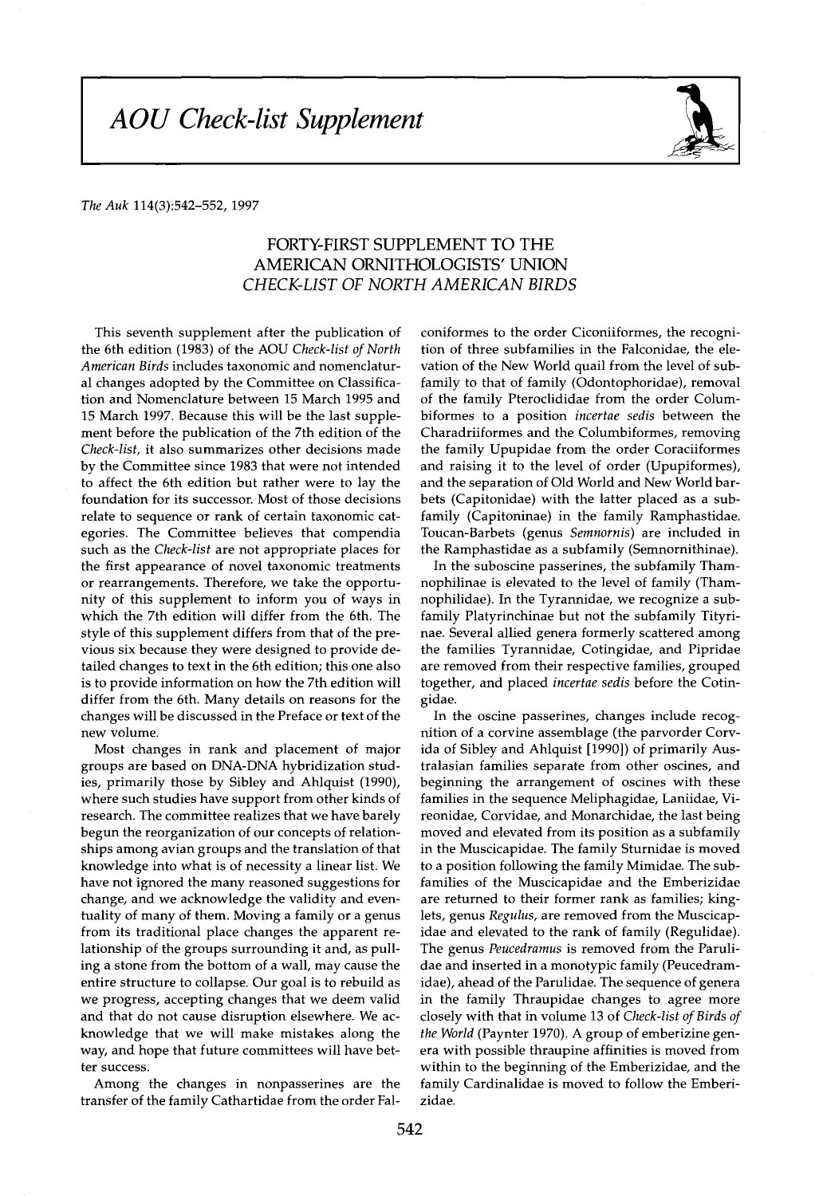## **AOU** Check-list Supplement



## **The Auk 114(3):542-552, 1997**

## **FORTY-FIRST SUPPLEMENT TO THE AMERICAN ORNITHOLOGISTS' UNION CHECK-LIST OF NORTH AMERICAN BIRDS**

**This seventh supplement after the publication of the 6th edition (1983) of the AOU Check-list of North American Birds includes taxonomic and nomenclatural changes adopted by the Committee on Classification and Nomenclature between 15 March 1995 and 15 March 1997. Because this will be the last supplement before the publication of the 7th edition of the Check-list, it also summarizes other decisions made by the Committee since 1983 that were not intended to affect the 6th edition but rather were to lay the foundation for its successor. Most of those decisions relate to sequence or rank of certain taxonomic categories. The Committee believes that compendia such as the Check-list are not appropriate places for the first appearance of novel taxonomic treatments or rearrangements. Therefore, we take the opportunity of this supplement to inform you of ways in which the 7th edition will differ from the 6th. The style of this supplement differs from that of the previous six because they were designed to provide detailed changes to text in the 6th edition; this one also is to provide information on how the 7th edition will differ from the 6th. Many details on reasons for the changes will be discussed in the Preface or text of the new volume.** 

**Most changes in rank and placement of major groups are based on DNA-DNA hybridization studies, primarily those by Sibley and Ahlquist (1990), where such studies have support from other kinds of research. The committee realizes that we have barely begun the reorganization of our concepts of relationships among avian groups and the translation of that knowledge into what is of necessity a linear list. We have not ignored the many reasoned suggestions for change, and we acknowledge the validity and eventuality of many of them. Moving a family or a genus from its traditional place changes the apparent relationship of the groups surrounding it and, as pulling a stone from the bottom of a wall, may cause the entire structure to collapse. Our goal is to rebuild as we progress, accepting changes that we deem valid and that do not cause disruption elsewhere. We acknowledge that we will make mistakes along the way, and hope that future committees will have better success.** 

**Among the changes in nonpasserines are the transfer of the family Cathartidae from the order Fal-** **coniformes to the order Ciconiiformes, the recognition of three subfamilies in the Falconidae, the elevation of the New World quail from the level of subfamily to that of family (Odontophoridae), removal of the family Pteroclididae from the order Columbiformes to a position incertae sedis between the Charadriiformes and the Columbiformes, removing the family Upupidae from the order Coraciiformes and raising it to the level of order (Upupiformes), and the separation of Old World and New World barbets (Capitonidae) with the latter placed as a subfamily (Capitoninae) in the family Ramphastidae. Toucan-Barbets (genus Semnornis) are included in the Ramphastidae as a subfamily (Semnornithinae).** 

**In the suboscine passerines, the subfamily Thamnophilinae is elevated to the level of family (Thamnophilidae). In the Tyrannidae, we recognize a subfamily Platyrinchinae but not the subfamily Tityrinae. Several allied genera formerly scattered among the families Tyrannidae, Cotingidae, and Pipridae are removed from their respective families, grouped together, and placed incertae sedis before the Cotingidae.** 

**In the oscine passerines, changes include recognition of a corvine assemblage (the parvorder Corvida of Sibley and Ahlquist [1990]) of primarily Australasian families separate from other oscines, and beginning the arrangement of oscines with these families in the sequence Meliphagidae, Laniidae, Vireonidae, Corvidae, and Monarchidae, the last being moved and elevated from its position as a subfamily in the Muscicapidae. The family Sturnidae is moved to a position following the family Mimidae. The subfamilies of the Muscicapidae and the Emberizidae are returned to their former rank as families; kinglets, genus Regulus, are removed from the Muscicapidae and elevated to the rank of family (Regulidae). The genus Peucedramus is removed from the Parulidae and inserted in a monotypic family (Peucedramidae), ahead of the Parulidae. The sequence of genera in the family Thraupidae changes to agree more closely with that in volume 13 of Check-list of Birds of the World (Paynter 1970). A group of emberizine genera with possible thraupine affinities is moved from within to the beginning of the Emberizidae, and the family Cardinalidae is moved to follow the Emberizidae.**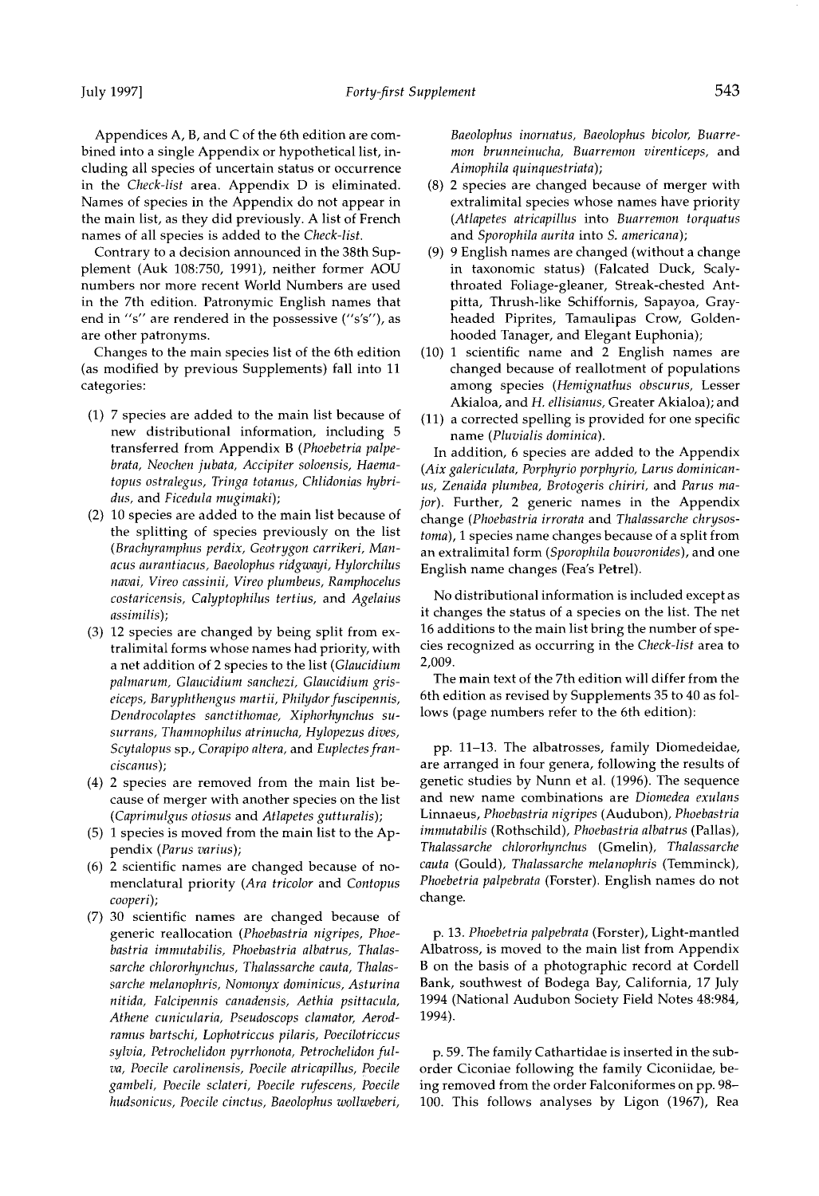**Appendices A, B, and C of the 6th edition are combined into a single Appendix or hypothetical list, including all species of uncertain status or occurrence in the Check-list area. Appendix D is eliminated. Names of species in the Appendix do not appear in the main list, as they did previously. A list of French names of all species is added to the Check-list.** 

**Contrary to a decision announced in the 38th Supplement (Auk 108:750, 1991), neither former AOU numbers nor more recent World Numbers are used in the 7th edition. Patronymic English names that end in "s" are rendered in the possessive ("s's"), as are other patronyms.** 

**Changes to the main species list of the 6th edition (as modified by previous Supplements) fall into 11 categories:** 

- **(1) 7 species are added to the main list because of new distributional information, including 5 transferred from Appendix B (Phoebetria palpebrata, Neochen jubata, Accipiter soloensis, Haematopus ostralegus, Tringa totanus, Chlidonias hybridus, and Ficedula mugimaki);**
- **(2) 10 species are added to the main list because of the splitting of species previously on the list (Brachyramphus perdix, Geotrygon carrikeri, Manacus aurantiacus, Baeolophus ridgwayi, Hylorchilus navai, Vireo cassinii, Vireo plumbeus, Ramphocelus costaricensis, Calyptophilus tertius, and Agelaius assimilis);**
- **(3) 12 species are changed by being split from extralimital forms whose names had priority, with a net addition of 2 species to the list (Glaucidium palmarum, Glaucidium sanchezi, Glaucidium griseiceps, Baryphthengus martii, Philydor fuscipennis, Dendrocolaptes sanctithomae, Xiphorhynchus susurrans, Thamnophilus atrinucha, Hylopezus dives, Scytalopus sp., Corapipo altera, and Euplectes franciscanus);**
- **(4) 2 species are removed from the main list because of merger with another species on the list (Caprimulgus otiosus and Atlapetes gutturalis);**
- **(5) 1 species is moved from the main list to the Appendix (Parus varius);**
- **(6) 2 scientific names are changed because of nomenclatural priority (Ara tricolor and Contopus cooperi);**
- **(7) 30 scientific names are changed because of generic reallocation (Phoebastria nigripes, Phoebastria immutabilis, Phoebastria albatrus, Thalassarche chlororhynchus, Thalassarche cauta, Thalassarche melanophris, Nomonyx dominicus, Asturina nitida, Falcipennis canadensis, Aethia psittacula, Athene cunicularia, Pseudoscops clamator, Aerodramus bartschi, Lophotriccus pilaris, Poecilotriccus sylvia, Petrochelidon pyrrhonota, Petrochelidon fulva, Poecile carolinensis, Poecile atricapillus, Poecile gambeli, Poecile sclateri, Poecile rufescens, Poecile hudsonicus, Poecile cinctus, Baeolophus wollweberi,**

**Baeolophus inornatus, Baeolophus bicolor, Buarremort brunneinucha, Buarremon virenticeps, and Aimophila quinquestriata);** 

- **(8) 2 species are changed because of merger with extralimital species whose names have priority (Atlapetes atricapillus into Buarremon torquatus and Sporophila aurita into S. americana);**
- **(9) 9 English names are changed (without a change in taxonomic status) (Falcated Duck, Scalythroated Foliage-gleaner, Streak-chested Antpitta, Thrush-like Schiffornis, Sapayoa, Grayheaded Piprites, Tamaulipas Crow, Goldenhooded Tanager, and Elegant Euphonia);**
- **(10) 1 scientific name and 2 English names are changed because of reallotment of populations among species (Hemignathus obscurus, Lesser Akialoa, and H. ellisianus, Greater Akialoa); and**
- **(11) a corrected spelling is provided for one specific name (Pluvialis dominica).**

**In addition, 6 species are added to the Appendix (Aix galericulata, Porphyrio porphyrio, Larus dominicanus, Zenaida plumbea, Brotogeris chiriri, and Parus major). Further, 2 generic names in the Appendix change (Phoebastria irrorata and Thalassarche chrysostoma), 1 species name changes because of a split from an extralimital form (Sporophila bouvronides), and one English name changes (Fea's Petrel).** 

**No distributional information is included except as it changes the status of a species on the list. The net 16 additions to the main list bring the number of species recognized as occurring in the Check-list area to 2,009.** 

**The main text of the 7th edition will differ from the 6th edition as revised by Supplements 35 to 40 as follows (page numbers refer to the 6th edition):** 

**pp. 11-13. The albatrosses, family Diomedeidae, are arranged in four genera, following the results of genetic studies by Nunn et al. (1996). The sequence and new name combinations are Diomedea exulans Linnaeus, Phoebastria nigripes (Audubon), Phoebastria immutabilis (Rothschild), Phoebastria albatrus (Pallas), Thalassarche chlororhynchus (Gmelin), Thalassarche cauta (Gould), Thalassarche melanophris (Temminck), Phoebetria palpebrata (Forster). English names do not change.** 

**p. 13. Phoebetria palpebrata (Forster), Light-mantled Albatross, is moved to the main list from Appendix B on the basis of a photographic record at Cordell Bank, southwest of Bodega Bay, California, 17 July 1994 (National Audubon Society Field Notes 48:984, 1994).** 

**p. 59. The family Cathartidae is inserted in the suborder Ciconiae following the family Ciconiidae, being removed from the order Falconiformes on pp. 98- 100. This follows analyses by Ligon (1967), Rea**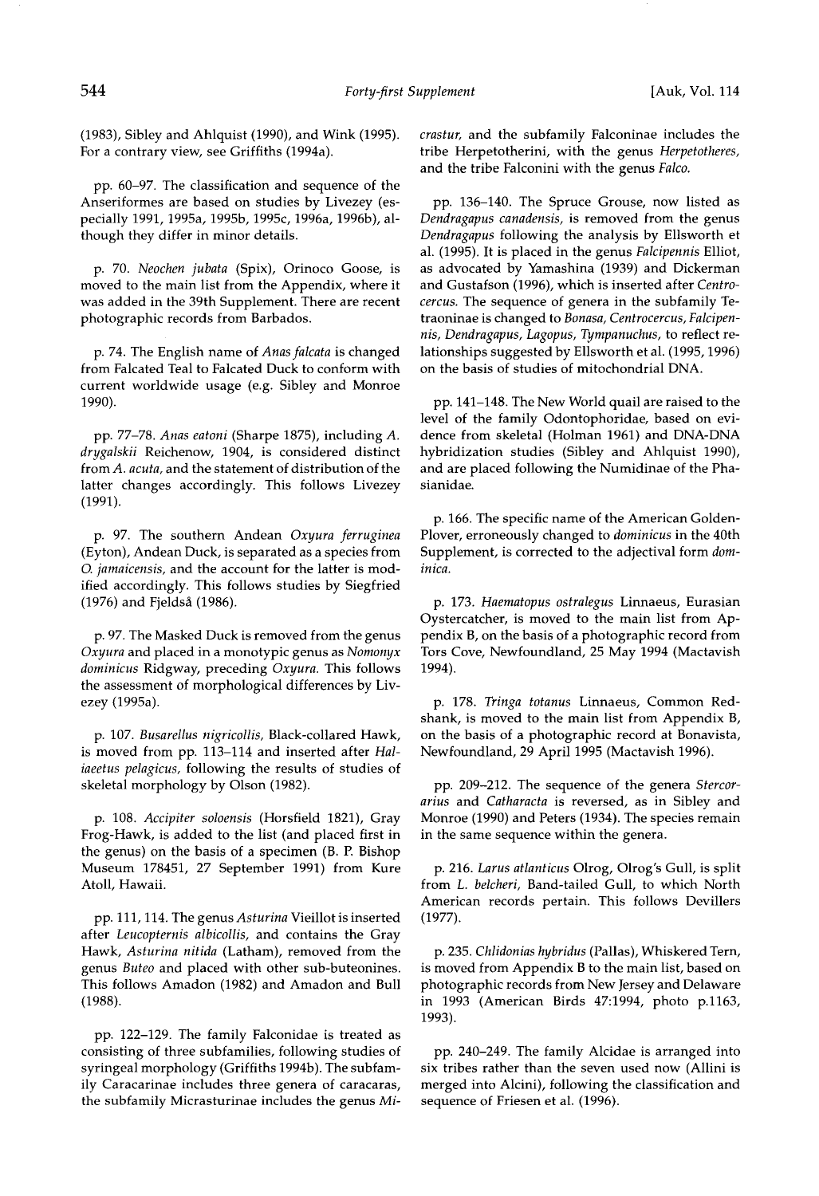**(1983), Sibley and Ahlquist (1990), and Wink (1995).**  For a contrary view, see Griffiths (1994a).

**pp. 60-97. The classification and sequence of the Anseriformes are based on studies by Livezey (especially 1991, 19954, 1995b, 1995c, 19964, 1996b), although they differ in minor details.** 

**p. 70. Neochen jubata (Spix), Orinoco Goose, is moved to the main list from the Appendix, where it was added in the 39th Supplement. There are recent photographic records from Barbados.** 

**p. 74. The English name of Anasfalcata is changed from Falcated Teal to Falcated Duck to conform with current worldwide usage (e.g. Sibley and Monroe 1990).** 

**pp. 77-78. Anas eatoni (Sharpe 1875), including A. drygalskii Reichenow, 1904, is considered distinct from A. acuta, and the statement of distribution of the latter changes accordingly. This follows Livezey (1991).** 

**p. 97. The southern Andean Oxyura ferruginea (Eyton), Andean Duck, is separated as a species from O. jamaicensis, and the account for the latter is modified accordingly. This follows studies by Siegfried (1976) and Fjeldsg (1986).** 

**p. 97. The Masked Duck is removed from the genus Oxyura and placed in a monotypic genus as Noraonyx dominicus Ridgway, preceding Oxyura. This follows the assessment of morphological differences by Livezey (19954).** 

**p. 107. Busarellus nigricollis, Black-collared Hawk, is moved from pp. 113-114 and inserted after Haliaeetus pelagicus, following the results of studies of skeletal morphology by Olson (1982).** 

**p. 108. Accipiter soloensis (Horsfield 1821), Gray Frog-Hawk, is added to the list (and placed first in the genus) on the basis of a specimen (B. E Bishop Museum 178451, 27 September 1991) from Kure Atoll, Hawaii.** 

**pp. 111, 114. The genus Asturina Vieillot is inserted after Leucopternis albicollis, and contains the Gray Hawk, Asturina nitida (Latham), removed from the genus Buteo and placed with other sub-buteonines. This follows Areadon (1982) and Amadon and Bull (1988).** 

**pp. 122-129. The family Falconidae is treated as consisting of three subfamilies, following studies of syringeal morphology (Griffiths 1994b). The subfamily Caracarinae includes three genera of caracaras, the subfamily Micrasturinae includes the genus Mi-** **crastur, and the subfamily Falconinae includes the tribe Herpetotherini, with the genus Herpetotheres, and the tribe Falconini with the genus Falco.** 

**pp. 136-140. The Spruce Grouse, now listed as**  Dendragapus canadensis, is removed from the genus **Dendragapus following the analysis by Ellsworth et al. (1995). It is placed in the genus Falcipennis Elliot, as advocated by Yamashina (1939) and Dickerman and Gustafson (1996), which is inserted after Centrocercus. The sequence of genera in the subfamily Tetraoninae is changed to Bonasa, Centrocercus, Falcipennis, Dendragapus, Lagopus, Tympanuchus, to reflect relationships suggested by Ellsworth et al. (1995, 1996) on the basis of studies of mitochondrial DNA.** 

**pp. 141-148. The New World quail are raised to the level of the family Odontophoridae, based on evidence from skeletal (Holman 1961) and DNA-DNA hybridization studies (Sibley and Ahlquist 1990), and are placed following the Numidinae of the Phasianidae.** 

**p. 166. The specific name of the American Golden-Plover, erroneously changed to dominicus in the 40th Supplement, is corrected to the adjectival form dominica.** 

**p. 173. Haematopus ostralegus Linnaeus, Eurasian Oystercatcher, is moved to the main list from Appendix B, on the basis of a photographic record from Tors Cove, Newfoundland, 25 May 1994 (Mactavish 1994).** 

**p. 178. Tringa totanus Linnaeus, Common Redshank, is moved to the main list from Appendix B, on the basis of a photographic record at Bonavista, Newfoundland, 29 April 1995 (Mactavish 1996).** 

**pp. 209-212. The sequence of the genera Stercorarius and Catharacta is reversed, as in Sibley and Monroe (1990) and Peters (1934). The species remain in the same sequence within the genera.** 

**p. 216. Larus atlanticus Olrog, Olrog's Gull, is split from L. belcheri, Band-tailed Gull, to which North American records pertain. This follows Devillers (1977).** 

**p. 235. Chlidonias hybridus (Pallas), Whiskered Tern, is moved from Appendix B to the main list, based on photographic records from New Jersey and Delaware in 1993 (American Birds 47:1994, photo p.1163, 1993).** 

**pp. 240-249. The family Alcidae is arranged into six tribes rather than the seven used now (Allini is merged into Alcini), following the classification and sequence of Friesen et al. (1996).**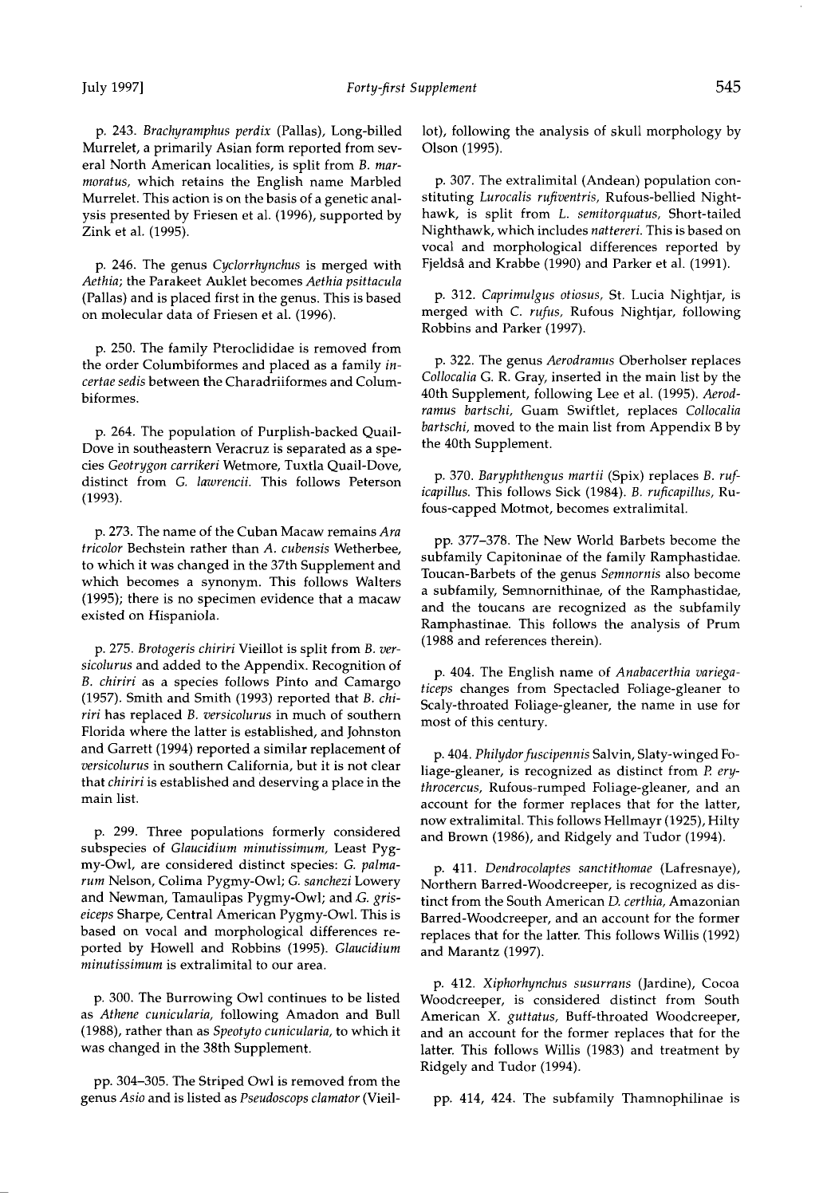**p. 246. The genus Cyclorrhynchus is merged with Aethia; the Parakeet Auklet becomes Aethia psittacula (Pallas) and is placed first in the genus. This is based on molecular data of Friesen et al. (1996).** 

**p. 250. The family Pteroclididae is removed from the order Columbiformes and placed as a family incertae sedis between the Charadriiformes and Columbiformes.** 

**p. 264. The population of Purplish-backed Quail-Dove in southeastern Veracruz is separated as a species Geotrygon carrikeri Wetmore, Tuxtla Quail-Dove, distinct from G. lawrencii. This follows Peterson (1993).** 

**p. 273. The name of the Cuban Macaw remains Ara tricolor Bechstein rather than A. cubensis Wetherbee, to which it was changed in the 37th Supplement and which becomes a synonym. This follows Walters (1995); there is no specimen evidence that a macaw existed on Hispaniola.** 

**p. 275. Brotogeris chiriri Vieillot is split from B. versicolurus and added to the Appendix. Recognition of B. chiriri as a species follows Pinto and Camargo (1957). Smith and Smith (1993) reported that B. chiriri has replaced B. versicolurus inmuch of southern Florida where the latter is established, and Johnston and Garrett (1994) reported a similar replacement of versicolurus in southern California, but it is not clear that chiriri is established and deserving a place in the main list.** 

**p. 299. Three populations formerly considered sub species of Glaucidium minutissimum, Least Pygmy-Owl, are considered distinct species: G. palmarum Nelson, Colima Pygmy-Owl; G. sanchezi Lowery**  and Newman, Tamaulipas Pygmy-Owl; and *G. gris***eiceps Sharpe, Central American Pygmy-Owl. This is based on vocal and morphological differences reported by Howell and Robbins (1995). Glaucidium minutissimum is extralimital to our area.** 

**p. 300. The Burrowing Owl continues to be listed as Athene cunicularia, following Amadon and Bull (1988), rather than as Speotyto cunicularia, to which it was changed in the 38th Supplement.** 

**pp. 304-305. The Striped Owl is removed from the genus Asio and is listed as Pseudoscops clamator (Vieil-**

**lot), following the analysis of skull morphology by Olson (1995).** 

**p. 307. The extralimital (Andean) population constituting Lurocalis rufiventris, Rufous-bellied Nighthawk, is split from L. semitorquatus, Short-tailed Nighthawk, which includes nattereri. This is based on vocal and morphological differences reported by Fjeldsa and Krabbe (1990) and Parker et al. (1991).** 

**p. 312. Caprimulgus otiosus, St. Lucia Nightjar, is merged with C. rufus, Rufous Nightjar, following Robbins and Parker (1997).** 

**p. 322. The genus Aerodramus Oberholser replaces Collocalia G. R. Gray, inserted in the main list by the 40th Supplement, following Lee et al. (1995). Aerodramus bartschi, Guam Swiftlet, replaces Collocalia bartschi, moved to the main list from Appendix B by the 40th Supplement.** 

**p. 370. Baryphthengus martii (Spix) replaces B. ruficapillus. This follows Sick (1984). B. ruficapillus, Rufous-capped Motmot, becomes extralimital.** 

**pp. 377-378. The New World Barbets become the subfamily Capitoninae of the family Ramphastidae. Toucan-Barbets of the genus Semnornis also become a subfamily, Semnornithinae, of the Ramphastidae,**  and the toucans are recognized as the subfamily **Ramphastinae. This follows the analysis of Prum (1988 and references therein).** 

**p. 404. The English name of Anabacerthia variegaticeps changes from Spectacled Foliage-gleaner to Scaly-throated Foliage-gleaner, the name in use for most of this century.** 

p. 404. Philydor fuscipennis Salvin, Slaty-winged Fo**liage-gleaner, is recognized as distinct from P. erythrocercus, Rufous-rumped Foliage-gleaner, and an account for the former replaces that for the latter, now extralimital. This follows Hellmayr (1925), Hilty and Brown (1986), and Ridgely and Tudor (1994).** 

**p. 411. Dendrocolaptes sanctithomae (Lafresnaye),**  Northern Barred-Woodcreeper, is recognized as dis**tinct from the South American D. certhia, Amazonian Barred-Woodcreeper, and an account for the former**  replaces that for the latter. This follows Willis (1992) **and Marantz (1997).** 

**p. 412. Xiphorhynchus susurrans (Jardine), Cocoa Woodcreeper, is considered distinct from South American X. guttatus, Buff-throated Woodcreeper, and an account for the former replaces that for the**  latter. This follows Willis (1983) and treatment by **Ridgely and Tudor (1994).** 

**pp. 414, 424. The subfamily Thamnophilinae is**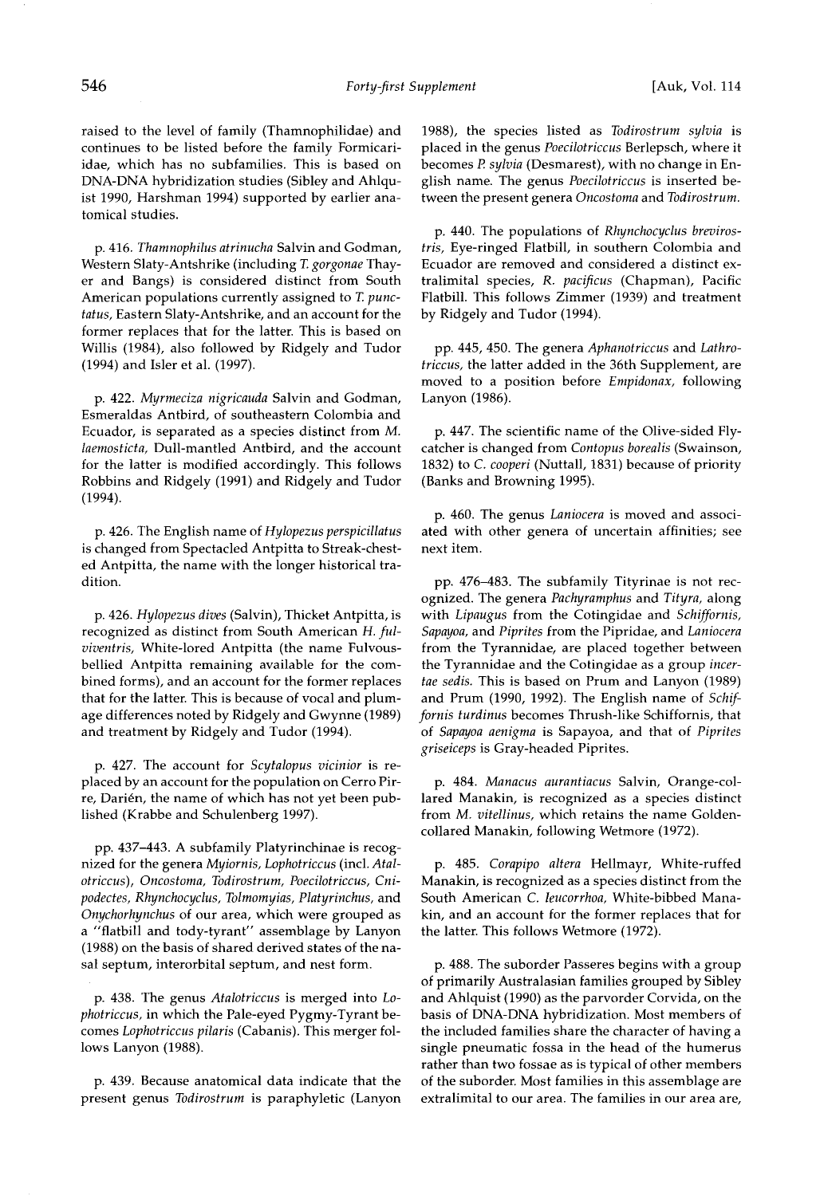**raised to the level of family (Thamnophilidae) and continues to be listed before the family Formicariidae, which has no subfamilies. This is based on DNA-DNA hybridization studies (Sibley and Ahlquist 1990, Harshman 1994) supported by earlier anatomical studies.** 

**p. 416. Thamnophilus atrinucha Salvin and Godman, Western Slaty-Antshrike (including T. gorgonae Thayer and Bangs) is considered distinct from South American populations currently assigned to T. punctatus, Eastern Slaty-Antshrike, and an account for the former replaces that for the latter. This is based on Willis (1984), also followed by Ridgely and Tudor (1994) and Isler et al. (1997).** 

**p. 422. Myrmeciza nigricauda Salvin and Godman, Esmeraldas Antbird, of southeastern Colombia and Ecuador, is separated as a species distinct from M. laemosticta, Dull-mantled Antbird, and the account for the latter is modified accordingly. This follows Robbins and Ridgely (1991) and Ridgely and Tudor (1994).** 

**p. 426. The English name of Hylopezus perspicillatus is changed from Spectacled Antpitta to Streak-chested Antpitta, the name with the longer historical tradition.** 

**p. 426. Hylopezus dives (Salvin), Thicket Antpitta, is recognized as distinct from South American H. fulviventris, White-lored Antpitta (the name Fulvousbellied Antpitta remaining available for the combined forms), and an account for the former replaces that for the latter. This is because of vocal and plumage differences noted by Ridgely and Gwynne (1989) and treatment by Ridgely and Tudor (1994).** 

**p. 427. The account for Scytalopus vicinior is replaced by an account for the population on Cerro Pir**re, Darién, the name of which has not yet been pub**lished (Krabbe and Schulenberg 1997).** 

**pp. 437-443. A subfamily Platyrinchinae is recognized for the genera Myiornis, Lophotriccus (incl. Atalotriccus), Oncostoma, Todirostrum, Poecilotriccus, Cnipodectes, Rhynchocyclus, Tolmomyias, Platyrinchus, and Onychorhynchus of our area, which were grouped as a "flatbill and tody-tyrant" assemblage by Lanyon (1988) on the basis of shared derived states of the nasal septurn, interorbital septum, and nest form.** 

**p. 438. The genus Atalotriccus is merged into Lophotriccus, in which the Pale-eyed Pygmy-Tyrant becomes Lophotriccus pilaris (Cabanis). This merger follows Lanyon (1988).** 

**p. 439. Because anatomical data indicate that the present genus Todirostrum is paraphyletic (Lanyon** 

**1988), the species listed as Todirostrum sylvia is placed in the genus Poecilotriccus Berlepsch, where it becomes P. sylvia (Desmarest), with no change in English name. The genus Poecilotriccus is inserted between the present genera Oncostoma and Todirostrum.** 

**p. 440. The populations of Rhynchocyclus brevirostris, Eye-ringed Flatbill, in southern Colombia and Ecuador are removed and considered a distinct extralimital species, R. pacificus (Chapman), Pacific Flatbill. This follows Zimmer (1939) and treatment by Ridgely and Tudor (1994).** 

**pp. 445, 450. The genera Aphanotriccus and Lathrotriccus, the latter added in the 36th Supplement, are moved to a position before Empidonax, following Lanyon (1986).** 

**p. 447. The scientific name of the Olive-sided Flycatcher is changed from Contopus borealis (Swainson, 1832) to C. cooperi (Nuttall, 1831) because of priority (Banks and Browning 1995).** 

**p. 460. The genus Laniocera is moved and associated with other genera of uncertain affinities; see next item.** 

**pp. 476-483. The subfamily Tityrinae is not recognized. The genera Pachyramphus and Tityra, along with Lipaugus from the Cotingidae and Schiffornis,**  Sapayoa, and Piprites from the Pipridae, and Laniocera **from the Tyrannidae, are placed together between the Tyrannidae and the Cotingidae as a group incertae sedis. This is based on Prum and Lanyon (1989) and Prum (1990, 1992). The English name of Schifforhis turdinus becomes Thrush-like Schiffornis, that of Sapayoa aenigma is Sapayoa, and that of Piprites griseiceps is Gray-headed Piprites.** 

**p. 484. Manacus aurantiacus Salvin, Orange-collared Manakin, is recognized as a species distinct from M. vitellinus, which retains the name Goldencollared Manakin, following Wetmore (1972).** 

**p. 485. Corapipo altera Hellmayr, White-ruffed Manakin, is recognized as a species distinct from the South American C. leucorrhoa, White-bibbed Manakin, and an account for the former replaces that for the latter. This follows Wetmore (1972).** 

**p. 488. The suborder Passeres begins with a group of primarily Australasian families grouped by Sibley and Ahlquist (1990) as the parvorder Corvida, on the basis of DNA-DNA hybridization. Most members of the included families share the character of having a single pneumatic fossa in the head of the humerus rather than two fossae as is typical of other members of the suborder. Most families in this assemblage are extralimital to our area. The families in our area are,**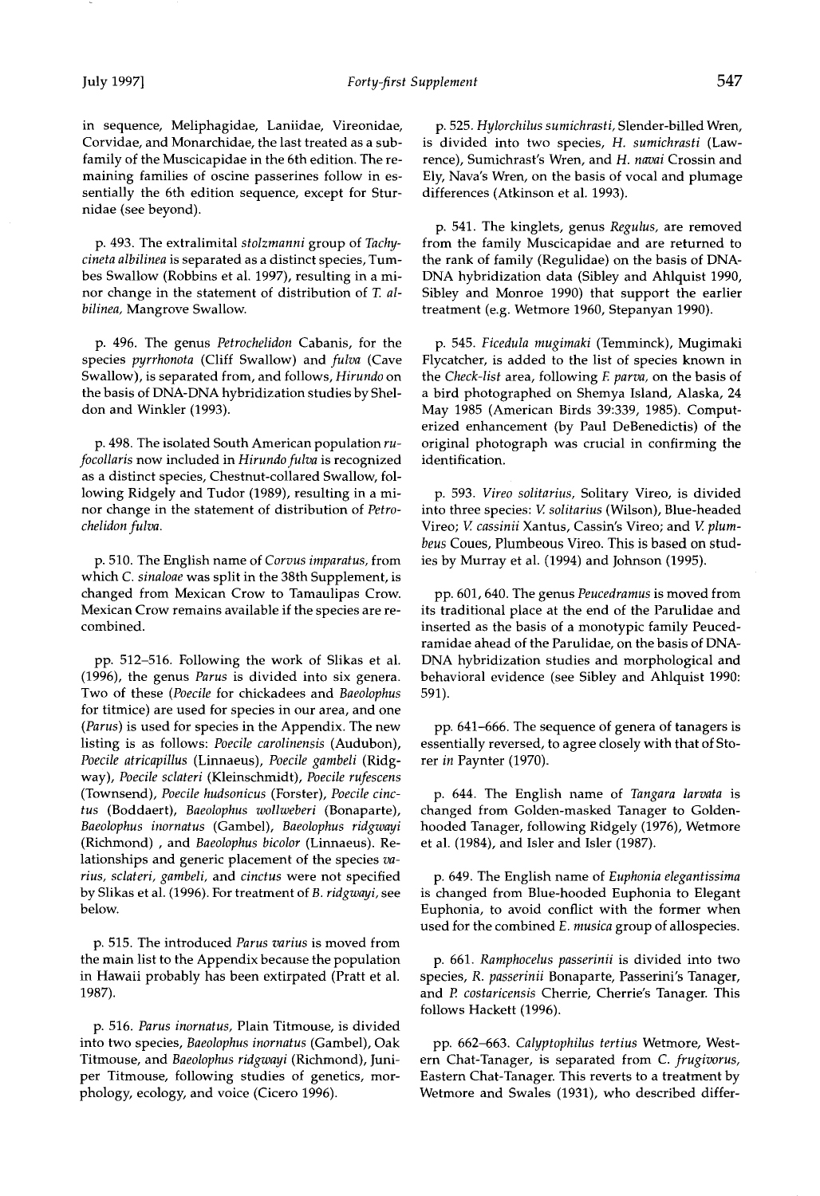**in sequence, Meliphagidae, Laniidae, Vireonidae, Corvidae, and Monarchidae, the last treated as a subfamily of the Muscicapidae in the 6th edition. The remaining families of oscine passerines follow in essentially the 6th edition sequence, except for Sturnidae (see beyond).** 

**p. 493. The extralimital stolzmanni group of Tachycineta albilinea is separated as a distinct species, Tumbes Swallow (Robbins et al. 1997), resulting in a minor change in the statement of distribution of T. albilinea, Mangrove Swallow.** 

**p. 496. The genus Petrochelidon Cabanis, for the species pyrrhonota (Cliff Swallow) and fulva (Cave Swallow), is separated from, and follows, Hirundo on the basis of DNA-DNA hybridization studies by Sheldon and Winkler (1993).** 

**p. 498. The isolated South American population ru**focollaris now included in Hirundo fulva is recognized **as a distinct species, Chestnut-collared Swallow, following Ridgely and Tudor (1989), resulting in a minor change in the statement of distribution of Petrochelidon fulva.** 

**p. 510. The English name of Corvus imparatus, from which C. sinaloae was split in the 38th Supplement, is changed from Mexican Crow to Tamaulipas Crow. Mexican Crow remains available if the species are recombined.** 

**pp. 512-516. Following the work of Slikas et al. (1996), the genus Parus is divided into six genera. Two of these (Poecile for chickadees and Baeolophus for titmice) are used for species in our area, and one (Parus) is used for species in the Appendix. The new listing is as follows: Poecile carolinensis (Audubon), Poecile atricapillus (Linnaeus), Poecile gambeli (Ridgway), Poecile sclateri (Kleinschmidt), Poecile rufescens (Townsend), Poecile hudsonicus (Forster), Poecile cinctus (Boddaert), Baeolophus wollweberi (Bonaparte), Baeolophus inornatus (Gambel), Baeolophus ridgwayi (Richmond) , and Baeolophus bicolor (Linnaeus). Relationships and generic placement of the species varius, sclateri, gambeli, and cinctus were not specified by Slikas et al. (1996). For treatment of B. ridgwayi, see below.** 

**p. 515. The introduced Parus varius is moved from the main list to the Appendix because the population in Hawaii probably has been extirpated (Pratt et al. 1987).** 

**p. 516. Parus inornatus, Plain Titmouse, is divided into two species, Baeolophus inornatus (Gambel), Oak Titmouse, and Baeolophus ridgwayi (Richmond), Juniper Titmouse, following studies of genetics, morphology, ecology, and voice (Cicero 1996).** 

**p. 525. Hylorchilus sumichrasti, Slender-billed Wren, is divided into two species, H. sumichrasti (Lawrence), Sumichrast's Wren, and H. navai Crossin and Ely, Nava's Wren, on the basis of vocal and plumage differences (Atkinson et al. 1993).** 

**p. 541. The kinglets, genus Regulus, are removed from the family Muscicapidae and are returned to the rank of family (Regulidae) on the basis of DNA-DNA hybridization data (Sibley and Ahlquist 1990, Sibley and Monroe 1990) that support the earlier treatment (e.g. Wetmore 1960, Stepanyan 1990).** 

**p. 545. Ficedula mugimaki (Temminck), Mugimaki Flycatcher, is added to the list of species known in the Check-list area, following E parva, on the basis of a bird photographed on Shemya Island, Alaska, 24 May 1985 (American Birds 39:339, 1985). Computerized enhancement (by Paul DeBenedictis) of the original photograph was crucial in confirming the identification.** 

**p. 593. Vireo solitarius, Solitary Vireo, is divided into three species: V. solitarius (Wilson), Blue-headed Vireo; V. cassinii Xantus, Cassin's Vireo; and V. plumbeus Coues, Plumbeous Vireo. This is based on studies by Murray et al. (1994) and Johnson (1995).** 

**pp. 601,640. The genus Peucedramus is moved from its traditional place at the end of the Parulidae and inserted as the basis of a monotypic family Peucedramidae ahead of the Parulidae, on the basis of DNA-DNA hybridization studies and morphological and behavioral evidence (see Sibley and Ahlquist 1990: 591).** 

**pp. 641-666. The sequence of genera of tanagers is essentially reversed, to agree closely with that of Storer in Paynter (1970).** 

**p. 644. The English name of Tangara larvata is changed from Golden-masked Tanager to Goldenhooded Tanager, following Ridgely (1976), Wetmore et al. (1984), and Isler and Isler (1987).** 

**p. 649. The English name of Euphonia elegantissima is changed from Blue-hooded Euphonia to Elegant Euphonia, to avoid conflict with the former when used for the combined E. musica group of allospecies.** 

**p. 661. Ramphocelus passerinii is divided into two species, R. passerinii Bonaparte, Passerini's Tanager, and P. costaricensis Cherrie, Cherrie's Tanager. This follows Hackett (1996).** 

**pp. 662-663. Calyptophilus tertius Wetmore, Western Chat-Tanager, is separated from C. frugivorus, Eastern Chat-Tanager. This reverts to a treatment by Wetmore and Swales (1931), who described differ-**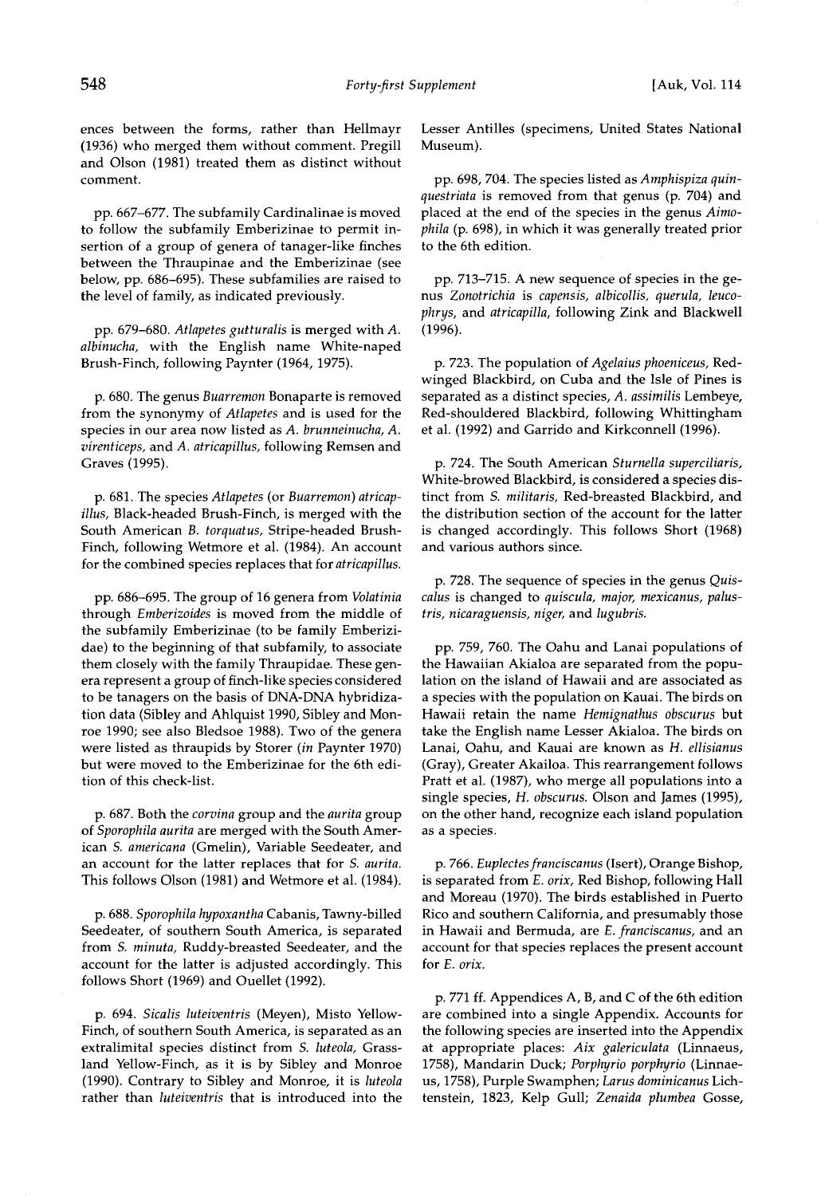**pp. 667-677. The subfamily Cardinalinae is moved to follow the subfamily Emberizinae to permit insertion of a group of genera of tanager-like finches between the Thraupinae and the Emberizinae (see below, pp. 686-695). These subfamilies are raised to the level of family, as indicated previously.** 

**pp. 679-680. Atlapetes gutturalis is merged with A. albinucha, with the English name White-naped Brush-Finch, following Paynter (1964, 1975).** 

**p. 680. The genus Buarremon Bonaparte is removed from the synonymy of Atlapetes and is used for the species in our area now listed as A. brunneinucha, A.**   $virentices,$  and A. atricapillus, following Remsen and **Graves (1995).** 

**p. 681. The species Atlapetes (or Buarremon) atricapillus, Black-headed Brush-Finch, is merged with the South American B. torquatus, Stripe-headed Brush-Finch, following Wetmore et al. (1984). An account for the combined species replaces that for atricapillus.** 

**pp. 686-695. The group of 16 genera from Volatinia**  through *Emberizoides* is moved from the middle of **the subfamily Emberizinae (to be family Emberizidae) to the beginning of that subfamily, to associate them closely with the family Thraupidae. These genera represent a group of finch-like species considered to be tanagers on the basis of DNA-DNA hybridization data (Sibley and Ahlquist 1990, Sibley and Monroe 1990; see also Bledsoe 1988). Two of the genera were listed as thraupids by Storer (in Paynter 1970) but were moved to the Emberizinae for the 6th edition of this check-list.** 

**p. 687. Both the corvina group and the aurita group of Sporophila aurita are merged with the South American S. americana (Gmelin), Variable Seedeater, and an account for the latter replaces that for S. aurita. This follows Olson (1981) and Wetmore et al. (1984).** 

**p. 688. Sporophila hypoxantha Cabanis, Tawny-billed Seedeater, of southern South America, is separated from S. minuta, Ruddy-breasted Seedeater, and the account for the latter is adjusted accordingly. This follows Short (1969) and Ouellet (1992).** 

**p. 694. Sicalis luteiventris (Meyen), Misto Yellow-Finch, of southern South America, is separated as an extralimital species distinct from S. luteola, Grassland Yellow-Finch, as it is by Sibley and Monroe (1990). Contrary to Sibley and Monroe, it is luteola rather than luteiventris that is introduced into the**  **Lesser Antilles (specimens, United States National Museum).** 

**pp. 698, 704. The species listed as Amphispiza quinquestriata is removed from that genus (p. 704) and placed at the end of the species in the genus Aimophila (p. 698), in which it was generally treated prior to the 6th edition.** 

**pp. 713-715. A new sequence of species in the genus Zonotrichia is capensis, albicollis, querula, leucophrys, and atricapilla, following Zink and Blackwell (1996).** 

**p. 723. The population of Agelaius phoeniceus, Redwinged Blackbird, on Cuba and the Isle of Pines is separated as a distinct species, A. assimilis Lembeye, Red-shouldered Blackbird, following Whittingham et al. (1992) and Garrido and Kirkconnell (1996).** 

**p. 724. The South American Sturnella superciliaris, White-browed Blackbird, is considered a species distinct from S. militaris, Red-breasted Blackbird, and the distribution section of the account for the latter is changed accordingly. This follows Short (1968) and various authors since.** 

**p. 728. The sequence of species in the genus Quiscalus is changed to quiscula, major, mexicanus, palustris, nicaraguensis, niger, and lugubris.** 

**pp. 759, 760. The Oahu and Lanai populations of the Hawaiian Akialoa are separated from the population on the island of Hawaii and are associated as a species with the population on Kauai. The birds on Hawaii retain the name Hemignathus obscurus but take the English name Lesser Akialoa. The birds on Lanai, Oahu, and Kauai are known as H. ellisianus (Gray), Greater Akailoa. This rearrangement follows Pratt et al. (1987), who merge all populations into a single species, H. obscurus. Olson and James (1995), on the other hand, recognize each island population as a species.** 

**p. 766. Euplectesfranciscanus (Isert), Orange Bishop, is separated from E. orix, Red Bishop, following Hall and Moreau (1970). The birds established in Puerto Rico and southern California, and presumably those in Hawaii and Bermuda, are E. franciscanus, and an account for that species replaces the present account for E. orix.** 

**p. 771 ff. Appendices A, B, and C of the 6th edition are combined into a single Appendix. Accounts for the following species are inserted into the Appendix at appropriate places: Aix galericulata (Linnaeus, 1758), Mandarin Duck; Porphyrio porphyrio (Linnaeus, 1758), Purple Swamphen; Larus dominicanus Lichtenstein, 1823, Kelp Gull; Zenaida plumbea Gosse,** 

**comment.**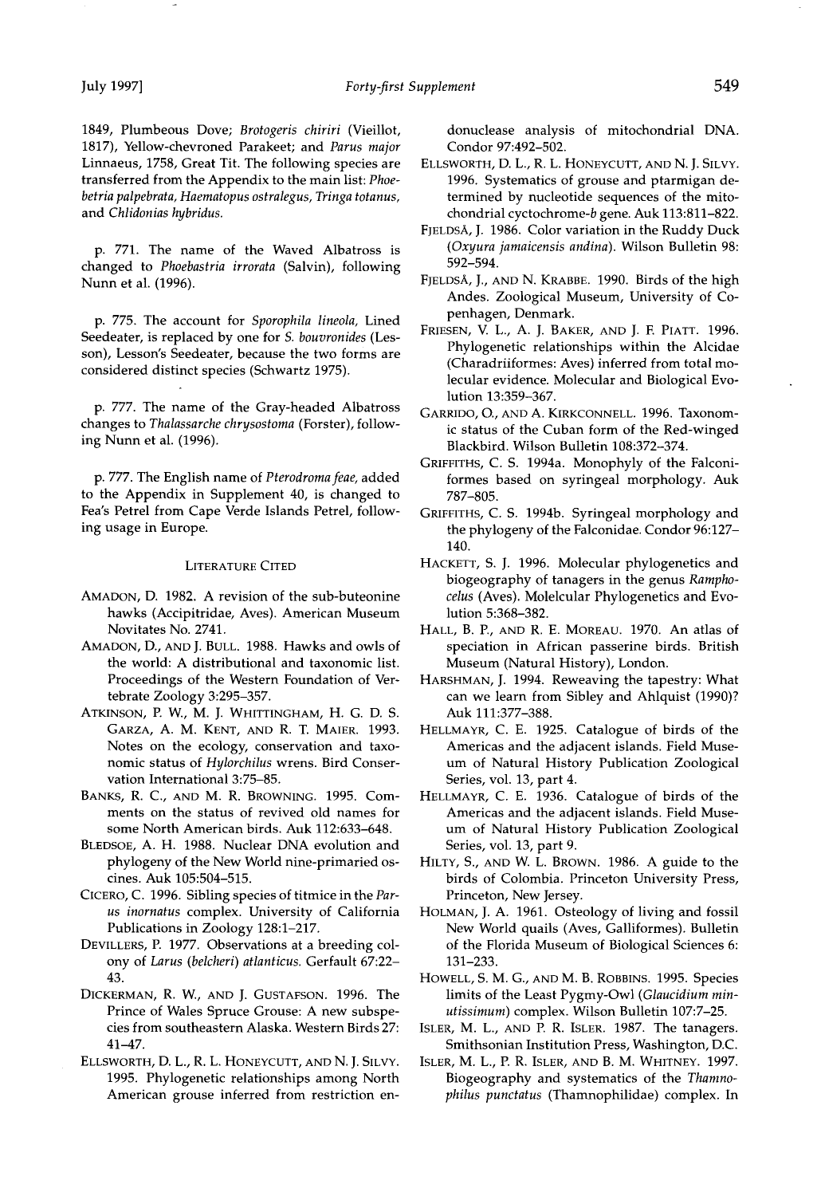**1849, Plumbeous Dove; Brotogeris chiriri (Vieillot, 1817), Yellow-chevroned Parakeet; and Parus major Linnaeus, 1758, Great Tit. The following species are transferred from the Appendix to the main list: Phoebetria palpebrata, Haematopus ostralegus, Tringa totanus, and Chlidonias hybridus.** 

**p. 771. The name of the Waved Albatross is changed to Phoebastria irrorata (Salvin), following Nunn et al. (1996).** 

**p. 775. The account for Sporophila lineola, Lined Seedeater, is replaced by one for S. bouvronides (Lesson), Lesson's Seedeater, because the two forms are considered distinct species (Schwartz 1975).** 

**p. 777. The name of the Gray-headed Albatross changes to Thalassarche chrysostoma (Forster), following Nunn et al. (1996).** 

**p. 777. The English name of Pterodromafeae, added to the Appendix in Supplement 40, is changed to Fea's Petrel from Cape Verde Islands Petrel, following usage in Europe.** 

## **LITERATURE CITED**

- **AMADON, D. 1982. A revision of the sub-buteonine hawks (Accipitridae, Aves). American Museum Novitates No. 2741.**
- **AMADON, D., AND J. BULL. 1988. Hawks and owls of the world: A distributional and taxonomic list. Proceedings of the Western Foundation of Vertebrate Zoology 3:295-357.**
- ATKINSON, P. W., M. J. WHITTINGHAM, H. G. D. S. **GARZA, A.M. KENT, AND R. t. MAIER. 1993. Notes on the ecology, conservation and taxonomic status of Hylorchilus wrens. Bird Conservation International 3:75-85.**
- **BANKS, R. C., AND M. R. BROWNING. 1995. Comments on the status of revived old names for some North American birds. Auk 112:633-648.**
- **BLEDSOE, A. H. 1988. Nuclear DNA evolution and phylogeny of the New World nine-primaried oscines. Auk 105:504-515.**
- CICERO, C. 1996. Sibling species of titmice in the Par**us inornatus complex. University of California Publications in Zoology 128:1-217.**
- DEVILLERS, P. 1977. Observations at a breeding col**ony of Larus (belcheri) atlanticus. Gerfault 67:22- 43.**
- **DICKERMAN, R. W., AND J. GUSTAFSON. 1996. The Prince of Wales Spruce Grouse: A new subspecies from southeastern Alaska. Western Birds 27: 41-47.**
- **ELLSWORTH, D. L., R. L. HONEYCUTT, AND N.J. \$ILVY. 1995. Phylogenetic relationships among North American grouse inferred from restriction en-**

**donuclease analysis of mitochondrial DNA. Condor 97:492-502.** 

- **ELLSWORTH, D. L., R. L. HONEYCUTT, AND N.J. \$ILVY. 1996. Systematics of grouse and ptarmigan determined by nucleotide sequences of the mitochondrial cyctochrome-b gene. Auk 113:811-822.**
- **[•JELDS•, J. 1986. Color variation in the Ruddy Duck (Oxyura jamaicensis andina). Wilson Bulletin 98: 592-594.**
- **[•JELDS•, J., AND N. KRABBE. 1990. Birds of the high Andes. Zoological Museum, University of Copenhagen, Denmark.**
- **FRIESEN, V. L., A. J. BAKER, AND J. E PlAtt. 1996. Phylogenetic relationships within the Alcidae (Charadriiformes: Aves) inferred from total molecular evidence. Molecular and Biological Evolution 13:359-367.**
- **GARRIDO, O., AND A. KIRKCONNELL. 1996. Taxonomic status of the Cuban form of the Red-winged Blackbird. Wilson Bulletin 108:372-374.**
- **GRIFFITHS, C. \$. 1994a. Monophyly of the Falconiformes based on syringeal morphology. Auk 787-805.**
- **GRIFFITHS, C. \$. 1994b. Syringeal morphology and the phylogeny of the Falconidae. Condor 96:127- 140.**
- **HACKETT, \$. J. 1996. Molecular phylogenetics and biogeography of tanagers in the genus Ramphocelus (Aves). Molelcular Phylogenetics and Evolution 5:368-382.**
- HALL, B. P., AND R. E. MOREAU. 1970. An atlas of **speciation in African passerine birds. British Museum (Natural History), London.**
- **HARSHMAN, J. 1994. Reweaving the tapestry: What can we learn from Sibley and Ahlquist (1990)? Auk 111:377-388.**
- **HELLMAYR, C. E. 1925. Catalogue of birds of the Americas and the adjacent islands. Field Museum of Natural History Publication Zoological Series, vol. 13, part 4.**
- **HELLMAYR, C. E. 1936. Catalogue of birds of the Americas and the adjacent islands. Field Museum of Natural History Publication Zoological Series, vol. 13, part 9.**
- **HILTY, S., AND W. L. BROWN. 1986. A guide to the birds of Colombia. Princeton University Press, Princeton, New Jersey.**
- **HOLMAN, J. A. 1961. Osteology of living and fossil New World quails (Aves, Galliformes). Bulletin of the Florida Museum of Biological Sciences 6: 131-233.**
- **HOWELL, S. M. G., AND M. B. ROBBINS. 1995. Species limits of the Least Pygmy-Owl (Glaucidium minutissimum) complex. Wilson Bulletin 107:7-25.**
- **ISLER, M. L., AND P. R. ISLER. 1987. The tanagers. Smithsonian Institution Press, Washington, D.C.**
- **ISLER, M. L., P. R. ISLER, AND B. M. WHITNEY. 1997. Biogeography and systematics of the Thamnophilus punctatus (Thamnophilidae) complex. In**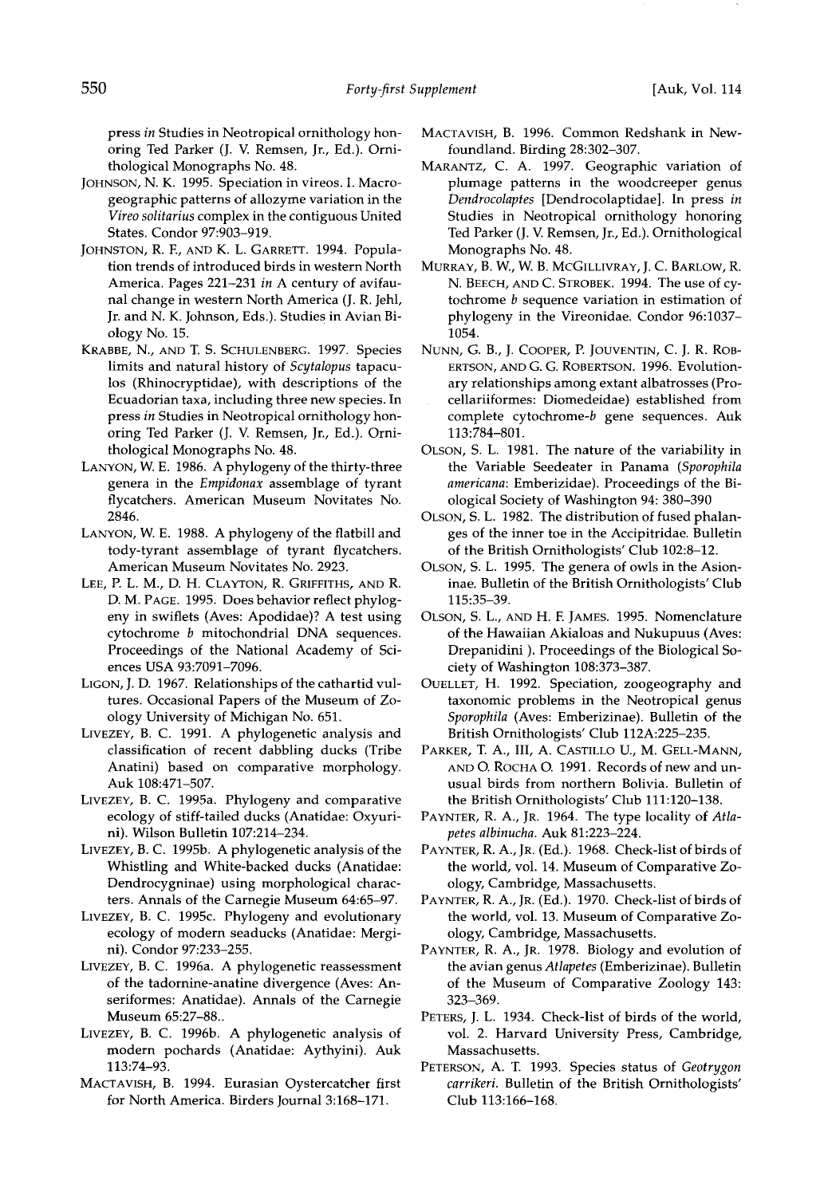**press in Studies in Neotropical ornithology honoring Ted Parker (J. V. Remsen, Jr., Ed.). Ornithological Monographs No. 48.** 

- **JOHNSON, N. K. 1995. Speciation in vireos. I. Macrogeographic patterns of allozyme variation in the Vireo solitarius complex in the contiguous United States. Condor 97:903-919.**
- **JOHNSTON, R. E, AND K. L. GARRETT. 1994. Population trends of introduced birds in western North America. Pages 221-231 in A century of avifaunal change in western North America (J. R. Jehl, Jr. and N. K. Johnson, Eds.). Studies in Avian Biology No. 15.**
- KRABBE, N., AND T. S. SCHULENBERG. 1997. Species **limits and natural history of Scytalopus tapaculos (Rhinocryptidae), with descriptions of the Ecuadorian taxa, including three new species. In press in Studies in Neotropical ornithology honoring Ted Parker (J. V. Remsen, Jr., Ed.). Ornithological Monographs No. 48.**
- **LANYON, W. E. 1986. A phylogeny of the thirty-three genera in the Empidonax assemblage of tyrant flycatchers. American Museum Novitates No. 2846.**
- **LANYON, W. E. 1988. A phylogeny of the flatbill and tody-tyrant assemblage of tyrant flycatchers. American Museum Novitates No. 2923.**
- **LEE, P. L. M., D. H. CLAYTON, R. GRIFFITHS, AND R. D. M. PAGE. 1995. Does behavior reflect phylogeny in swiflets (Aves: Apodidae)? A test using cytochrome b mitochondrial DNA sequences. Proceedings of the National Academy of Sciences USA 93:7091-7096.**
- **LIGON, J. D. 1967. Relationships of the cathartid vultures. Occasional Papers of the Museum of Zoology University of Michigan No. 651.**
- **LIVEZEY, B.C. 1991. A phylogenetic analysis and classification of recent dabbling ducks (Tribe Anatini) based on comparative morphology. Auk 108:471-507.**
- **LIVEZEY, B.C. 1995a. Phylogeny and comparative ecology of stiff-tailed ducks (Anatidae: Oxyurini). Wilson Bulletin 107:214-234.**
- **LIVEZEY, B.C. 1995b. A phylogenetic analysis of the Whistling and White-backed ducks (Anatidae: Dendrocygninae) using morphological characters. Annals of the Carnegie Museum 64:65-97.**
- **LIVEZEY, B.C. 1995c. Phylogeny and evolutionary ecology of modern seaducks (Anatidae: Mergini). Condor 97:233-255.**
- **LIVEZEY, B.C. 1996a. A phylogenetic reassessment of the tadornine-anatine divergence (Aves: Anseriformes: Anatidae). Annals of the Carnegie Museum 65:27-88..**
- **LIVEZEY, B.C. 1996b. A phylogenetic analysis of modern pochards (Anatidae: Aythyini). Auk 113:74-93.**
- **MACTAVISH, B. 1994. Eurasian Oystercatcher first for North America. Birders Journal 3:168-171.**
- **MACTAVISH, B. 1996. Common Redshank in Newfoundland. Birding 28:302-307.**
- **MARANTZ, C. A. 1997. Geographic variation of plumage pattems in the woodcreeper genus Dendrocolaptes [Dendrocolaptidae]. In press in Studies in Neotropical ornithology honoring**  Ted Parker (J. V. Remsen, Jr., Ed.). Ornithological **Monographs No. 48.**
- **MURRAY, B. W., W. B. MCGILLIVRAY, J. C. BARLOW, R. N. BEECH, AND C. \$TROBEK. 1994. The use of cytochrome b sequence variation in estimation of phylogeny in the Vireonidae. Condor 96:1037- 1054.**
- **NUNN, G. B., J. COOPER, P. JOUVENTIN, C. J. R. ROB-ERTSON, AND G. G. ROBERTSON. 1996. Evolutionary relationships among extant albatrosses (Procellariiformes: Diomedeidae) established from complete cytochrome-b gene sequences. Auk 113:784-801.**
- **OLSON, S. L. 1981. The nature of the variability in the Variable Seedeater in Panama (Sporophila americana: Emberizidae). Proceedings of the Biological Society of Washington 94:380-390**
- **OLSON, S. L. 1982. The distribution of fused phalanges of the inner toe in the Accipitridae. Bulletin of the British Omithologists' Club 102:8-12.**
- **OLSON, S. L. 1995. The genera of owls in the Asioninae. Bulletin of the British Ornithologists' Club 115:35-39.**
- **OLSON, \$. L., AND H. F. JAMES. 1995. Nomenclature of the Hawaiian Akialoas and Nukupuus (Aves: Drepanidini ). Proceedings of the Biological Society of Washington 108:373-387.**
- **OUELLET, H. 1992. Speciation, zoogeography and taxonomic problems in the Neotropical genus Sporophila (Aves: Emberizinae). Bulletin of the British Ornithologists' Club 112A:225-235.**
- PARKER, T. A., III, A. CASTILLO U., M. GELL-MANN, **AND O. ROCHA O. 1991. Records of new and unusual birds from northern Bolivia. Bulletin of the British Ornithologists' Club 111:120-138.**
- PAYNTER, R. A., JR. 1964. The type locality of Atla**petes albinucha. Auk 81:223-224.**
- PAYNTER, R. A., JR. (Ed.). 1968. Check-list of birds of **the world, vol. 14. Museum of Comparative Zoology, Cambridge, Massachusetts.**
- PAYNTER, R. A., JR. (Ed.). 1970. Check-list of birds of **the world, vol. 13. Museum of Comparative Zoology, Cambridge, Massachusetts.**
- PAYNTER, R. A., JR. 1978. Biology and evolution of **the avian genus Atlapetes (Emberizinae). Bulletin of the Museum of Comparative Zoology 143: 323-369.**
- **PETERS, J. L. 1934. Check-list of birds of the world, vol. 2. Harvard University Press, Cambridge, Massachusetts.**
- PETERSON, A. T. 1993. Species status of Geotrygon **carrikeri. Bulletin of the British Ornithologists' Club 113:166-168.**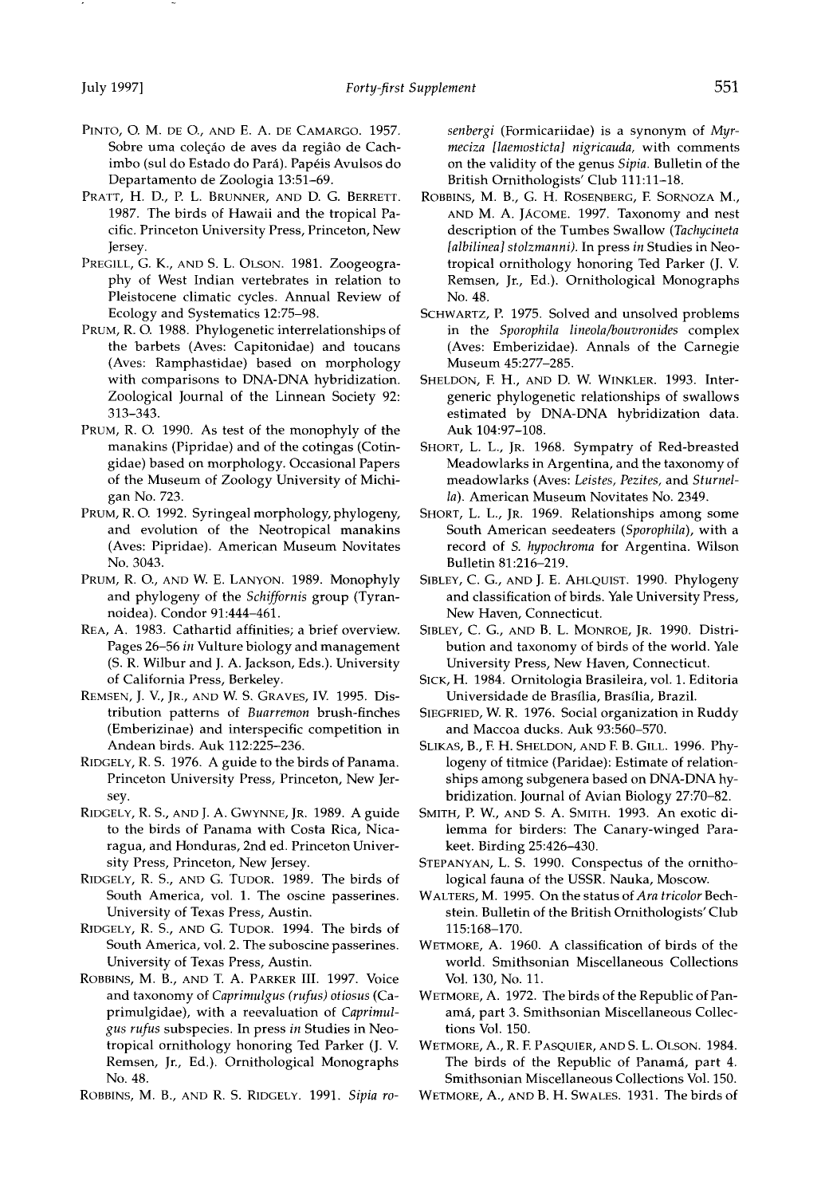- **PINTO, O. M. DE O., AND E. A. DE CAMARGO. 1957.**  Sobre uma coleção de aves da região de Cachimbo (sul do Estado do Pará). Papéis Avulsos do **Departamento de Zoologia 13:51-69.**
- PRATT, H. D., P. L. BRUNNER, AND D. G. BERRETT. **1987. The birds of Hawaii and the tropical Pacific. Princeton University Press, Princeton, New Jersey.**
- PREGILL, G. K., AND S. L. OLSON. 1981. Zoogeogra**phy of West Indian vertebrates in relation to Pleistocene climatic cycles. Annual Review of Ecology and Systematics 12:75-98.**
- **PRUM, R. O. 1988. Phylogenetic interrelationships of the barbets (Aves: Capitonidae) and toucans (Aves: Ramphastidae) based on morphology with comparisons to DNA-DNA hybridization. Zoological Journal of the Linnean Society 92: 313-343.**
- **PRUM, R. O. 1990. As test of the monophyly of the manakins (Pipridae) and of the cotingas (Cotingidae) based on morphology. Occasional Papers of the Museum of Zoology University of Michigan No. 723.**
- **PRUM, R. O. 1992. Syringeal morphology, phylogeny, and evolution of the Neotropical manakins (Aves: Pipridae). American Museum Novitates No. 3043.**
- **PRUM, R. O., AND W. E. LANYON. 1989. Monophyly and phylogeny of the Schiffornis group (Tyrannoidea). Condor 91:444-461.**
- **REA, A. 1983. Cathartid affinities; a brief overview. Pages 26-56 in Vulture biology and management (S. R. Wilbur and J. A. Jackson, Eds.). University of California Press, Berkeley.**
- **REMSEN, J. V., JR., AND W. S. GRAVES, IV. 1995. Distribution patterns of Buarremon brush-finches (Emberizinae) and interspecific competition in Andean birds. Auk 112:225-236.**
- **RIDGELY, R. S. 1976. A guide to the birds of Panama. Princeton University Press, Princeton, New Jersey.**
- **RIDGELY, R. S., AND J. A. GWYNNE, JR. 1989. A guide to the birds of Panama with Costa Rica, Nicaragua, and Honduras, 2nd ed. Princeton University Press, Princeton, New Jersey.**
- **RIDGEt. Y, R. S., AND G. TUDOR. 1989. The birds of South America, vol. 1. The oscine passerines. University of Texas Press, Austin.**
- **RIDGELY, R. S., AND G. TUDOR. 1994. The birds of South America, vol. 2. The suboscine passerines. University of Texas Press, Austin.**
- ROBBINS, M. B., AND T. A. PARKER III. 1997. Voice **and taxonomy of Caprimulgus (rufus) otiosus (Caprimulgidae), with a reevaluation of Caprimulgus rufus subspecies. In press in Studies in Neotropical ornithology honoring Ted Parker (J. V. Remsen, Jr., Ed.). Ornithological Monographs No. 48.**
- **ROBBINS, M. B., AND R. S. RIDGELY. 1991. Sipia ro-**

**senbergi (Formicariidae) is a synonym of Myrmeciza [laemosticta] nigricauda, with comments on the validity of the genus Sipia. Bulletin of the British Ornithologists' Club 111:11-18.** 

- **ROBBINS, M. B., G. H. ROSENBERG, F. SORNOZA M.,**  AND M. A. JACOME. 1997. Taxonomy and nest **description of the Tumbes Swallow (Tachycineta [albilinea] stolzmanni). In press in Studies in Neotropical ornithology honoring Ted Parker (J. V. Remsen, Jr., Ed.). Ornithological Monographs No. 48.**
- **SCHWARTZ, P. 1975. Solved and unsolved problems in the Sporophila lineola/bouvronides complex (Aves: Emberizidae). Annals of the Carnegie Museum 45:277-285.**
- **SHELDON, E H., AND D. W. WINKLER. 1993. Intergeneric phylogenetic relationships of swallows estimated by DNA-DNA hybridization data. Auk 104:97-108.**
- **SHORT, L. L., JR. 1968. Sympatry of Red-breasted Meadowlarks in Argentina, and the taxonomy of meadowlarks (Aves: Leistes, Pezites, and Sturnella). American Museum Novitates No. 2349.**
- **SHORT, L. L., JR. 1969. Relationships among some South American seedeaters (Sporophila), with a record of S. hypochroma for Argentina. Wilson Bulletin 81:216-219.**
- **SIBLEY, C. G., AND J. E. AHLQUIST. 1990. Phylogeny and classification of birds. Yale University Press, New Haven, Connecticut.**
- **SIBLEY, C. G., AND B. L. MONROE, JR. 1990. Distribution and taxonomy of birds of the world. Yale University Press, New Haven, Connecticut.**
- **SICK, H. 1984. Ornitologia Brasileira, vol. 1. Editoria Universidade de Brasilia, Brasflia, Brazil.**
- **SIEGFRIED, W. R. 1976. Social organization in Ruddy and Maccoa ducks. Auk 93:560-570.**
- **SLIKAS, B., E H. SHELDON, AND E B. GILL. 1996. Phylogeny of titmice (Paridae): Estimate of relationships among subgenera based on DNA-DNA hybridization. Journal of Avian Biology 27:70-82.**
- **SMITH, P. W., AND S. A. SMITH. 1993. An exotic dilemma for birders: The Canary-winged Parakeet. Birding 25:426-430.**
- **STEPANYAN, L. S. 1990. Conspectus of the ornithological fauna of the USSR. Nauka, Moscow.**
- **WALTERS, M. 1995. On the status of Ara tricolor Bechstein. Bulletin of the British Ornithologists' Club 115:168-170.**
- **WETMORE, A. 1960. A classification of birds of the world. Smithsonian Miscellaneous Collections Vol. 130, No. 11.**
- **WETMORE, A. 1972. The birds of the Republic of Pan**amá, part 3. Smithsonian Miscellaneous Collec**tions Vol. 150.**

**WETMORE, A., R. E PASQUIER, AND S. L. OLSON. 1984.**  The birds of the Republic of Panamá, part 4. **Smithsonian Miscellaneous Collections Vol. 150.** 

**WETMORE, A., AND B. H. SWALES. 1931. The birds of**